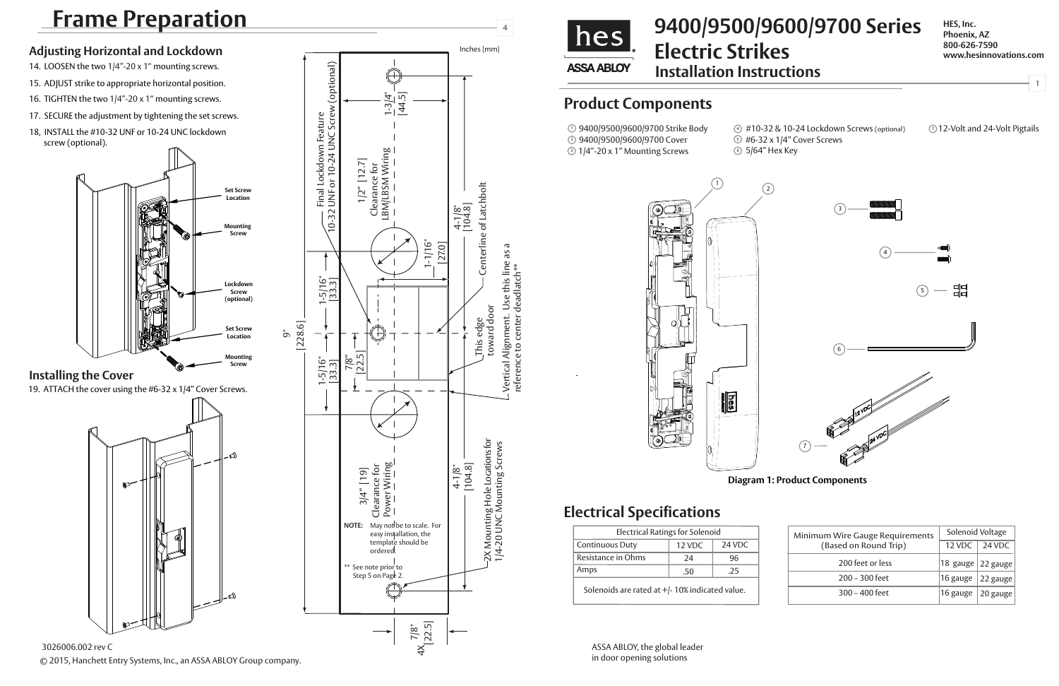## **Installation Instructions 9400/9500/9600/9700 Series Electric Strikes**

**HES, Inc. Phoenix, AZ 800-626-7590 www.hesinnovations.com**

1

## **Electrical Specifications**

1 9400/9500/9600/9700 Strike Body 2 9400/9500/9600/9700 Cover  $\textcircled{\scriptsize{3}}$  1/4"-20 x 1" Mounting Screws

| Minimum Wire Gauge Requirements<br>(Based on Round Trip) | Solenoid Voltage     |          |
|----------------------------------------------------------|----------------------|----------|
|                                                          | 12 VDC               | 24 VDC   |
| 200 feet or less                                         | $ 18 \text{ gauge} $ | 22 gauge |
| $200 - 300$ feet                                         | 16 gauge             | 22 gauge |
| $300 - 400$ feet                                         | 16 gauge             | 20 gauge |

ASSA ABLOY, the global leader in door opening solutions

## **Product Components**

| <b>Electrical Ratings for Solenoid</b>          |        |        |  |
|-------------------------------------------------|--------|--------|--|
| <b>Continuous Duty</b>                          | 12 VDC | 24 VDC |  |
| Resistance in Ohms                              | 24     | 96     |  |
| Amps                                            | .50    | .25    |  |
| Solenoids are rated at +/- 10% indicated value. |        |        |  |

## **Frame Preparation** <sup>4</sup>

# 3 4  $\begin{array}{c}\n\Box \\
\Box\n\end{array}$ 5 6 12 VOC 12 VOC 24 VOC 7

 #10-32 & 10-24 Lockdown Screws (optional) 4 5 #6-32 x 1/4" Cover Screws

6 5/64" Hex Key

Inches [mm]

© 2015, Hanchett Entry Systems, Inc., an ASSA ABLOY Group company.





3026006.002 rev C





- 14. LOOSEN the two 1/4"-20 x 1" mounting screws.
- 15. ADJUST strike to appropriate horizontal position.
- 16. TIGHTEN the two 1/4"-20 x 1" mounting screws.
- 17. SECURE the adjustment by tightening the set screws.
- 18, INSTALL the #10-32 UNF or 10-24 UNC lockdown screw (optional).

19. ATTACH the cover using the #6-32 x 1/4" Cover Screws.



7 12-Volt and 24-Volt Pigtails

Vertical Alignment. Use this line as a reference to center deadlatch\*\*

### **Adjusting Horizontal and Lockdown**

### **Installing the Cover**

#### **Diagram 1: Product Components**